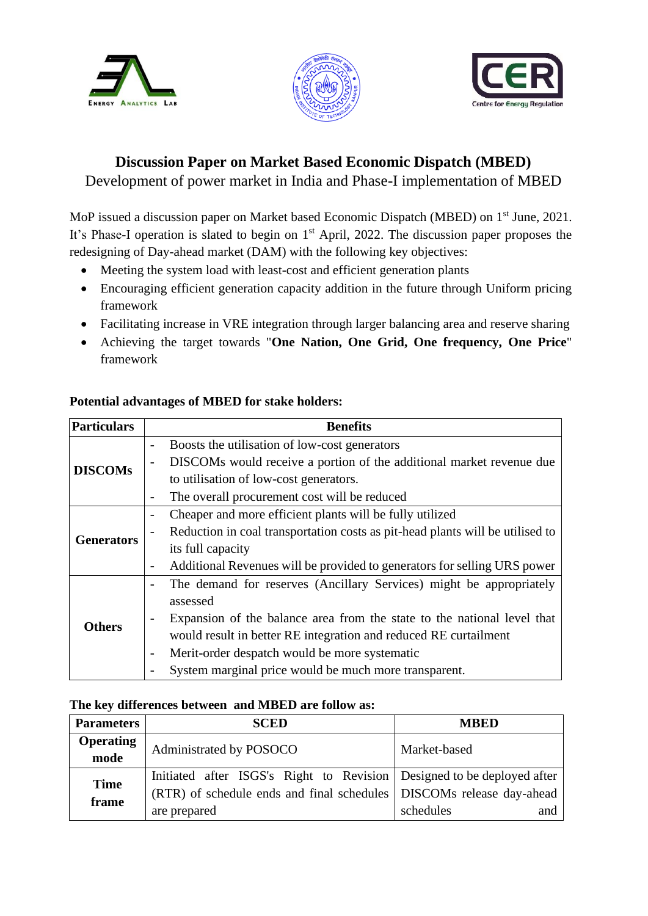





# **Discussion Paper on Market Based Economic Dispatch (MBED)**

Development of power market in India and Phase-I implementation of MBED

MoP issued a discussion paper on Market based Economic Dispatch (MBED) on 1<sup>st</sup> June, 2021. It's Phase-I operation is slated to begin on  $1<sup>st</sup>$  April, 2022. The discussion paper proposes the redesigning of Day-ahead market (DAM) with the following key objectives:

- Meeting the system load with least-cost and efficient generation plants
- Encouraging efficient generation capacity addition in the future through Uniform pricing framework
- Facilitating increase in VRE integration through larger balancing area and reserve sharing
- Achieving the target towards "**One Nation, One Grid, One frequency, One Price**" framework

| Particulars       | <b>Benefits</b>                                                                                      |  |  |
|-------------------|------------------------------------------------------------------------------------------------------|--|--|
|                   | Boosts the utilisation of low-cost generators<br>$\overline{\phantom{0}}$                            |  |  |
|                   | DISCOMs would receive a portion of the additional market revenue due<br>$\overline{\phantom{0}}$     |  |  |
| <b>DISCOMs</b>    | to utilisation of low-cost generators.                                                               |  |  |
|                   | The overall procurement cost will be reduced<br>$\overline{\phantom{a}}$                             |  |  |
|                   | Cheaper and more efficient plants will be fully utilized<br>$\qquad \qquad -$                        |  |  |
|                   | Reduction in coal transportation costs as pit-head plants will be utilised to<br>$\overline{a}$      |  |  |
| <b>Generators</b> | its full capacity                                                                                    |  |  |
|                   | Additional Revenues will be provided to generators for selling URS power<br>$\overline{\phantom{a}}$ |  |  |
|                   | The demand for reserves (Ancillary Services) might be appropriately<br>$\overline{\phantom{a}}$      |  |  |
|                   | assessed                                                                                             |  |  |
| Others            | Expansion of the balance area from the state to the national level that<br>$\overline{\phantom{a}}$  |  |  |
|                   | would result in better RE integration and reduced RE curtailment                                     |  |  |
|                   | Merit-order despatch would be more systematic<br>$\qquad \qquad$                                     |  |  |
|                   | System marginal price would be much more transparent.<br>$\overline{a}$                              |  |  |

### **Potential advantages of MBED for stake holders:**

#### **The key differences between and MBED are follow as:**

| <b>Parameters</b>        | <b>SCED</b>                                                              | <b>MBED</b>      |
|--------------------------|--------------------------------------------------------------------------|------------------|
| <b>Operating</b><br>mode | Administrated by POSOCO                                                  | Market-based     |
| <b>Time</b>              | Initiated after ISGS's Right to Revision   Designed to be deployed after |                  |
| frame                    | (RTR) of schedule ends and final schedules   DISCOMs release day-ahead   |                  |
|                          | are prepared                                                             | schedules<br>and |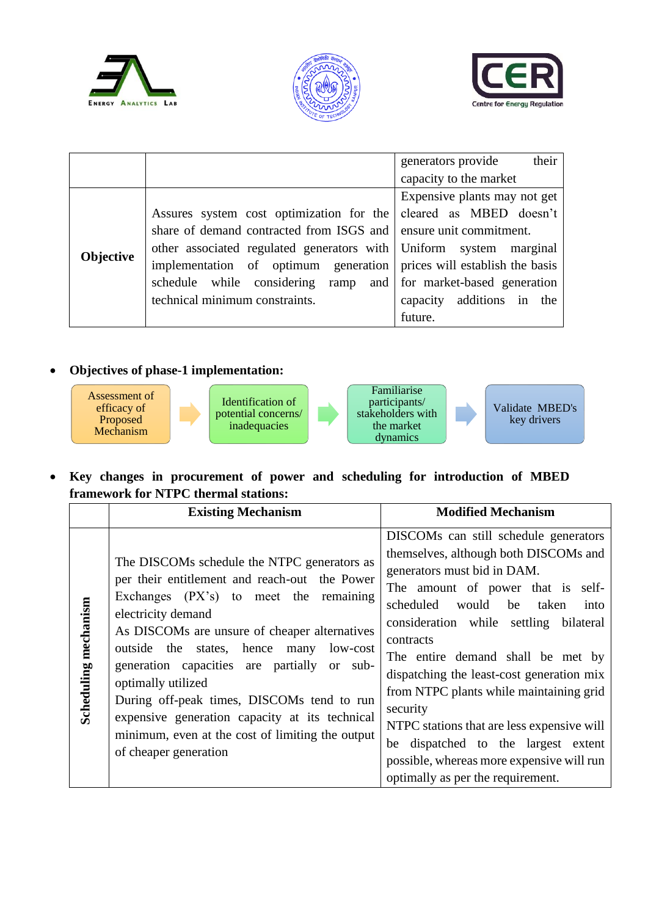





|           |                                                                      | their<br>generators provide  |  |
|-----------|----------------------------------------------------------------------|------------------------------|--|
|           |                                                                      | capacity to the market       |  |
|           |                                                                      | Expensive plants may not get |  |
|           | Assures system cost optimization for the                             | cleared as MBED doesn't      |  |
| Objective | share of demand contracted from ISGS and   ensure unit commitment.   |                              |  |
|           | other associated regulated generators with Uniform system marginal   |                              |  |
|           | implementation of optimum generation prices will establish the basis |                              |  |
|           | schedule while considering ramp and for market-based generation      |                              |  |
|           | technical minimum constraints.                                       | capacity additions in the    |  |
|           |                                                                      | future.                      |  |

### • **Objectives of phase-1 implementation:**







Validate MBED's key drivers

#### • **Key changes in procurement of power and scheduling for introduction of MBED framework for NTPC thermal stations:**

|                      | <b>Existing Mechanism</b>                                                                                                                                                                                                                                                                                                                                                                                                                                                                                          | <b>Modified Mechanism</b>                                                                                                                                                                                                                                                                                                                                                                                                                                                                                                                                           |
|----------------------|--------------------------------------------------------------------------------------------------------------------------------------------------------------------------------------------------------------------------------------------------------------------------------------------------------------------------------------------------------------------------------------------------------------------------------------------------------------------------------------------------------------------|---------------------------------------------------------------------------------------------------------------------------------------------------------------------------------------------------------------------------------------------------------------------------------------------------------------------------------------------------------------------------------------------------------------------------------------------------------------------------------------------------------------------------------------------------------------------|
| Scheduling mechanism | The DISCOMs schedule the NTPC generators as<br>per their entitlement and reach-out the Power<br>Exchanges $(PX's)$ to meet the remaining<br>electricity demand<br>As DISCOMs are unsure of cheaper alternatives<br>outside the states, hence<br>low-cost<br>many<br>generation capacities are partially or sub-<br>optimally utilized<br>During off-peak times, DISCOMs tend to run<br>expensive generation capacity at its technical<br>minimum, even at the cost of limiting the output<br>of cheaper generation | DISCOMs can still schedule generators<br>themselves, although both DISCOMs and<br>generators must bid in DAM.<br>The amount of power that is self-<br>scheduled<br>would<br>be taken<br>into<br>consideration while settling bilateral<br>contracts<br>The entire demand shall be met by<br>dispatching the least-cost generation mix<br>from NTPC plants while maintaining grid<br>security<br>NTPC stations that are less expensive will<br>be dispatched to the largest extent<br>possible, whereas more expensive will run<br>optimally as per the requirement. |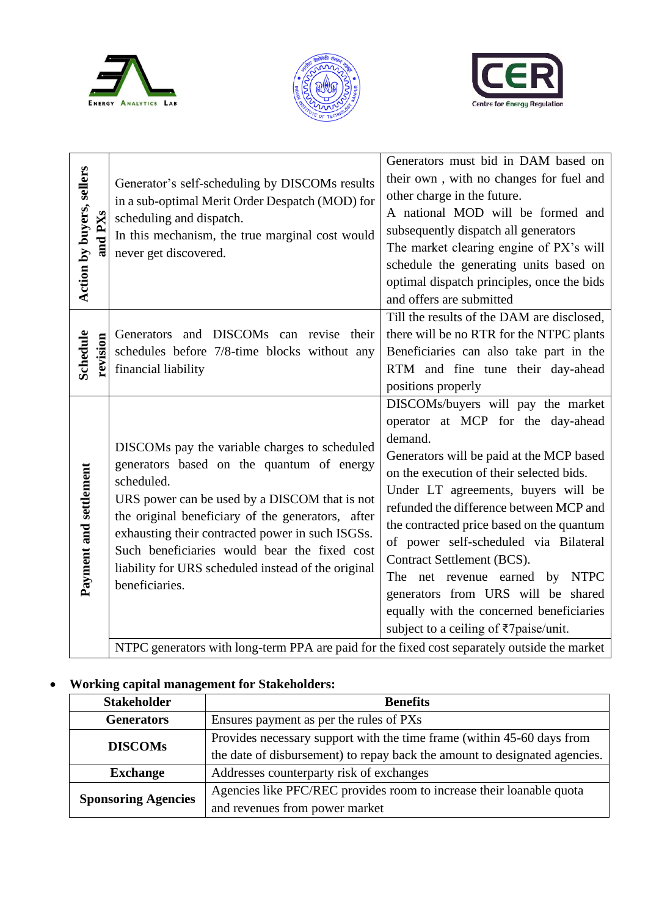





| Action by buyers, sellers<br>and $\mathbf{P}\mathbf{X}\mathbf{s}$ | Generator's self-scheduling by DISCOMs results<br>in a sub-optimal Merit Order Despatch (MOD) for<br>scheduling and dispatch.<br>In this mechanism, the true marginal cost would<br>never get discovered.                                                                                                                                                                                   | Generators must bid in DAM based on<br>their own, with no changes for fuel and<br>other charge in the future.<br>A national MOD will be formed and<br>subsequently dispatch all generators<br>The market clearing engine of PX's will<br>schedule the generating units based on<br>optimal dispatch principles, once the bids<br>and offers are submitted                                                                                                                                                                                     |  |  |
|-------------------------------------------------------------------|---------------------------------------------------------------------------------------------------------------------------------------------------------------------------------------------------------------------------------------------------------------------------------------------------------------------------------------------------------------------------------------------|-----------------------------------------------------------------------------------------------------------------------------------------------------------------------------------------------------------------------------------------------------------------------------------------------------------------------------------------------------------------------------------------------------------------------------------------------------------------------------------------------------------------------------------------------|--|--|
| Schedule<br>revision                                              | Generators and DISCOMs can revise their<br>schedules before 7/8-time blocks without any<br>financial liability                                                                                                                                                                                                                                                                              | Till the results of the DAM are disclosed,<br>there will be no RTR for the NTPC plants<br>Beneficiaries can also take part in the<br>RTM and fine tune their day-ahead<br>positions properly                                                                                                                                                                                                                                                                                                                                                  |  |  |
| Payment and settlement                                            | DISCOMs pay the variable charges to scheduled<br>generators based on the quantum of energy<br>scheduled.<br>URS power can be used by a DISCOM that is not<br>the original beneficiary of the generators, after<br>exhausting their contracted power in such ISGSs.<br>Such beneficiaries would bear the fixed cost<br>liability for URS scheduled instead of the original<br>beneficiaries. | DISCOMs/buyers will pay the market<br>operator at MCP for the day-ahead<br>demand.<br>Generators will be paid at the MCP based<br>on the execution of their selected bids.<br>Under LT agreements, buyers will be<br>refunded the difference between MCP and<br>the contracted price based on the quantum<br>of power self-scheduled via Bilateral<br>Contract Settlement (BCS).<br>The net revenue earned by NTPC<br>generators from URS will be shared<br>equally with the concerned beneficiaries<br>subject to a ceiling of ₹7paise/unit. |  |  |
|                                                                   | NTPC generators with long-term PPA are paid for the fixed cost separately outside the market                                                                                                                                                                                                                                                                                                |                                                                                                                                                                                                                                                                                                                                                                                                                                                                                                                                               |  |  |

NTPC generators with long-term PPA are paid for the fixed cost separately outside the market

### • **Working capital management for Stakeholders:**

| <b>Stakeholder</b>         | <b>Benefits</b>                                                            |
|----------------------------|----------------------------------------------------------------------------|
| <b>Generators</b>          | Ensures payment as per the rules of PXs                                    |
| <b>DISCOMs</b>             | Provides necessary support with the time frame (within 45-60 days from     |
|                            | the date of disbursement) to repay back the amount to designated agencies. |
| <b>Exchange</b>            | Addresses counterparty risk of exchanges                                   |
| <b>Sponsoring Agencies</b> | Agencies like PFC/REC provides room to increase their loanable quota       |
|                            | and revenues from power market                                             |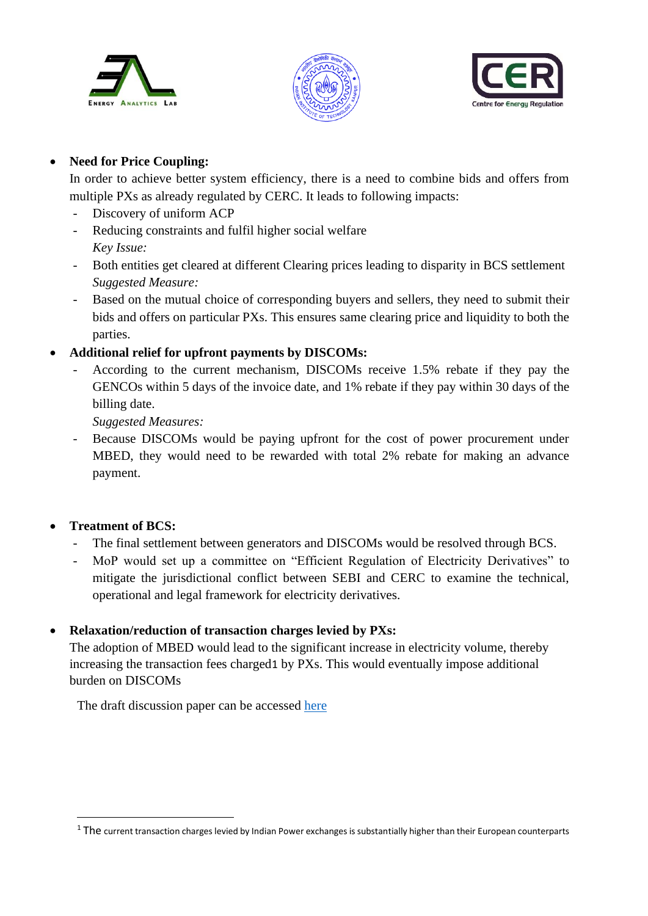





### • **Need for Price Coupling:**

In order to achieve better system efficiency, there is a need to combine bids and offers from multiple PXs as already regulated by CERC. It leads to following impacts:

- Discovery of uniform ACP
- Reducing constraints and fulfil higher social welfare *Key Issue:*
- Both entities get cleared at different Clearing prices leading to disparity in BCS settlement *Suggested Measure:*
- Based on the mutual choice of corresponding buyers and sellers, they need to submit their bids and offers on particular PXs. This ensures same clearing price and liquidity to both the parties.
- **Additional relief for upfront payments by DISCOMs:**
	- According to the current mechanism, DISCOMs receive 1.5% rebate if they pay the GENCOs within 5 days of the invoice date, and 1% rebate if they pay within 30 days of the billing date.

*Suggested Measures:*

- Because DISCOMs would be paying upfront for the cost of power procurement under MBED, they would need to be rewarded with total 2% rebate for making an advance payment.

### • **Treatment of BCS:**

- The final settlement between generators and DISCOMs would be resolved through BCS.
- MoP would set up a committee on "Efficient Regulation of Electricity Derivatives" to mitigate the jurisdictional conflict between SEBI and CERC to examine the technical, operational and legal framework for electricity derivatives.

## • **Relaxation/reduction of transaction charges levied by PXs:**

The adoption of MBED would lead to the significant increase in electricity volume, thereby increasing the transaction fees charged1 by PXs. This would eventually impose additional burden on DISCOMs

The draft discussion paper can be accessed [here](https://cer.iitk.ac.in/odf_assets/upload_files/blog/Discussion_Paper_on_Market_Based_Economic_Dispatch.pdf)

<sup>&</sup>lt;sup>1</sup> The current transaction charges levied by Indian Power exchanges is substantially higher than their European counterparts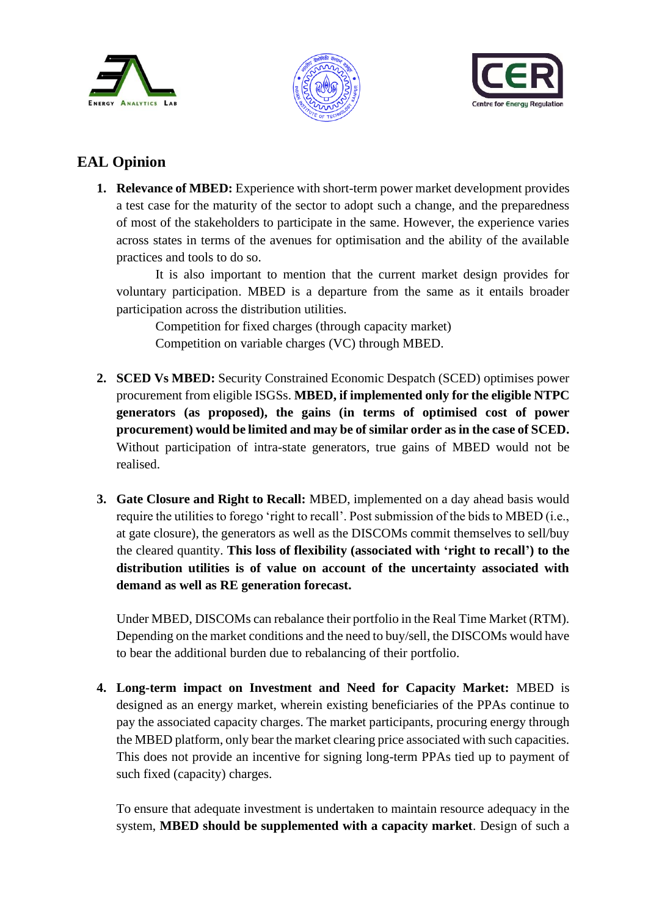





## **EAL Opinion**

**1. Relevance of MBED:** Experience with short-term power market development provides a test case for the maturity of the sector to adopt such a change, and the preparedness of most of the stakeholders to participate in the same. However, the experience varies across states in terms of the avenues for optimisation and the ability of the available practices and tools to do so.

It is also important to mention that the current market design provides for voluntary participation. MBED is a departure from the same as it entails broader participation across the distribution utilities.

Competition for fixed charges (through capacity market) Competition on variable charges (VC) through MBED.

- **2. SCED Vs MBED:** Security Constrained Economic Despatch (SCED) optimises power procurement from eligible ISGSs. **MBED, if implemented only for the eligible NTPC generators (as proposed), the gains (in terms of optimised cost of power procurement) would be limited and may be of similar order as in the case of SCED.** Without participation of intra-state generators, true gains of MBED would not be realised.
- **3. Gate Closure and Right to Recall:** MBED, implemented on a day ahead basis would require the utilities to forego 'right to recall'. Post submission of the bids to MBED (i.e., at gate closure), the generators as well as the DISCOMs commit themselves to sell/buy the cleared quantity. **This loss of flexibility (associated with 'right to recall') to the distribution utilities is of value on account of the uncertainty associated with demand as well as RE generation forecast.**

Under MBED, DISCOMs can rebalance their portfolio in the Real Time Market (RTM). Depending on the market conditions and the need to buy/sell, the DISCOMs would have to bear the additional burden due to rebalancing of their portfolio.

**4. Long-term impact on Investment and Need for Capacity Market:** MBED is designed as an energy market, wherein existing beneficiaries of the PPAs continue to pay the associated capacity charges. The market participants, procuring energy through the MBED platform, only bear the market clearing price associated with such capacities. This does not provide an incentive for signing long-term PPAs tied up to payment of such fixed (capacity) charges.

To ensure that adequate investment is undertaken to maintain resource adequacy in the system, **MBED should be supplemented with a capacity market**. Design of such a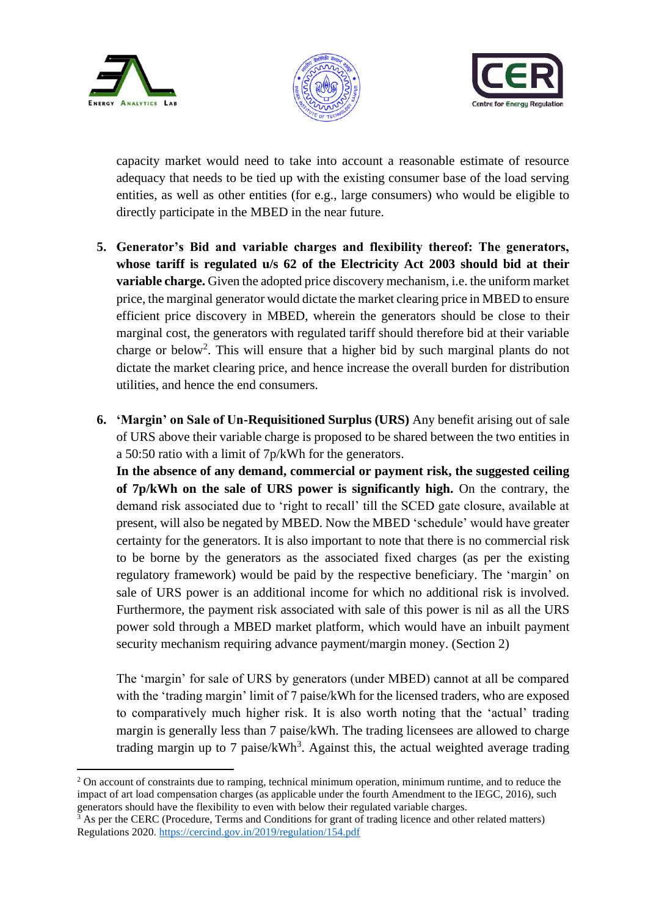





capacity market would need to take into account a reasonable estimate of resource adequacy that needs to be tied up with the existing consumer base of the load serving entities, as well as other entities (for e.g., large consumers) who would be eligible to directly participate in the MBED in the near future.

- **5. Generator's Bid and variable charges and flexibility thereof: The generators, whose tariff is regulated u/s 62 of the Electricity Act 2003 should bid at their variable charge.** Given the adopted price discovery mechanism, i.e. the uniform market price, the marginal generator would dictate the market clearing price in MBED to ensure efficient price discovery in MBED, wherein the generators should be close to their marginal cost, the generators with regulated tariff should therefore bid at their variable charge or below<sup>2</sup>. This will ensure that a higher bid by such marginal plants do not dictate the market clearing price, and hence increase the overall burden for distribution utilities, and hence the end consumers.
- **6. 'Margin' on Sale of Un-Requisitioned Surplus (URS)** Any benefit arising out of sale of URS above their variable charge is proposed to be shared between the two entities in a 50:50 ratio with a limit of 7p/kWh for the generators.

**In the absence of any demand, commercial or payment risk, the suggested ceiling of 7p/kWh on the sale of URS power is significantly high.** On the contrary, the demand risk associated due to 'right to recall' till the SCED gate closure, available at present, will also be negated by MBED. Now the MBED 'schedule' would have greater certainty for the generators. It is also important to note that there is no commercial risk to be borne by the generators as the associated fixed charges (as per the existing regulatory framework) would be paid by the respective beneficiary. The 'margin' on sale of URS power is an additional income for which no additional risk is involved. Furthermore, the payment risk associated with sale of this power is nil as all the URS power sold through a MBED market platform, which would have an inbuilt payment security mechanism requiring advance payment/margin money. (Section 2)

The 'margin' for sale of URS by generators (under MBED) cannot at all be compared with the 'trading margin' limit of 7 paise/kWh for the licensed traders, who are exposed to comparatively much higher risk. It is also worth noting that the 'actual' trading margin is generally less than 7 paise/kWh. The trading licensees are allowed to charge trading margin up to 7 paise/ $kWh^3$ . Against this, the actual weighted average trading

<sup>&</sup>lt;sup>2</sup> On account of constraints due to ramping, technical minimum operation, minimum runtime, and to reduce the impact of art load compensation charges (as applicable under the fourth Amendment to the IEGC, 2016), such generators should have the flexibility to even with below their regulated variable charges.

As per the CERC (Procedure, Terms and Conditions for grant of trading licence and other related matters) Regulations 2020.<https://cercind.gov.in/2019/regulation/154.pdf>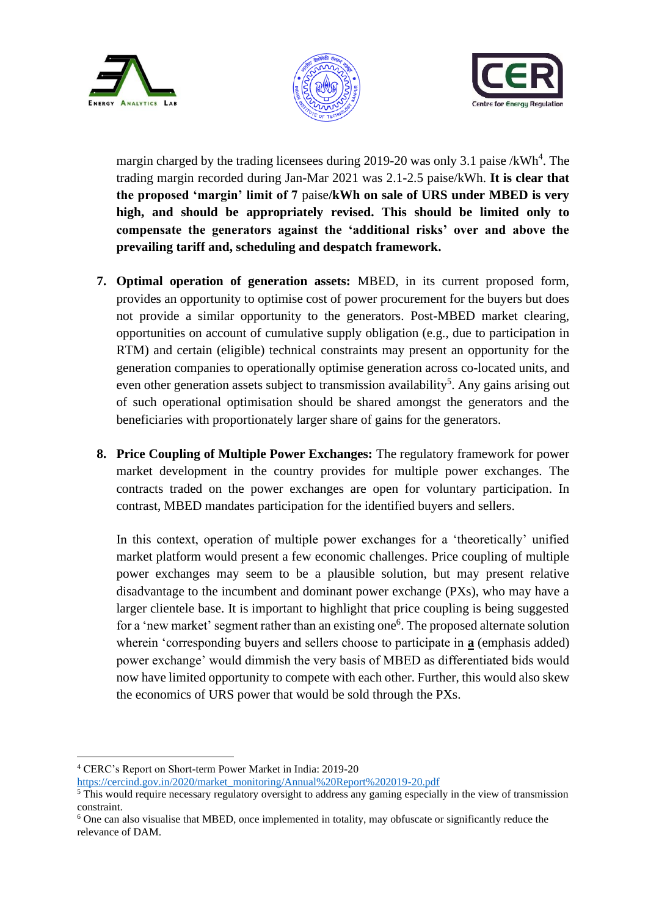





margin charged by the trading licensees during 2019-20 was only 3.1 paise / $kWh^4$ . The trading margin recorded during Jan-Mar 2021 was 2.1-2.5 paise/kWh. **It is clear that the proposed 'margin' limit of 7** paise**/kWh on sale of URS under MBED is very high, and should be appropriately revised. This should be limited only to compensate the generators against the 'additional risks' over and above the prevailing tariff and, scheduling and despatch framework.**

- **7. Optimal operation of generation assets:** MBED, in its current proposed form, provides an opportunity to optimise cost of power procurement for the buyers but does not provide a similar opportunity to the generators. Post-MBED market clearing, opportunities on account of cumulative supply obligation (e.g., due to participation in RTM) and certain (eligible) technical constraints may present an opportunity for the generation companies to operationally optimise generation across co-located units, and even other generation assets subject to transmission availability<sup>5</sup>. Any gains arising out of such operational optimisation should be shared amongst the generators and the beneficiaries with proportionately larger share of gains for the generators.
- **8. Price Coupling of Multiple Power Exchanges:** The regulatory framework for power market development in the country provides for multiple power exchanges. The contracts traded on the power exchanges are open for voluntary participation. In contrast, MBED mandates participation for the identified buyers and sellers.

In this context, operation of multiple power exchanges for a 'theoretically' unified market platform would present a few economic challenges. Price coupling of multiple power exchanges may seem to be a plausible solution, but may present relative disadvantage to the incumbent and dominant power exchange (PXs), who may have a larger clientele base. It is important to highlight that price coupling is being suggested for a 'new market' segment rather than an existing one<sup>6</sup>. The proposed alternate solution wherein 'corresponding buyers and sellers choose to participate in **a** (emphasis added) power exchange' would dimmish the very basis of MBED as differentiated bids would now have limited opportunity to compete with each other. Further, this would also skew the economics of URS power that would be sold through the PXs.

<sup>4</sup> CERC's Report on Short-term Power Market in India: 2019-20

[https://cercind.gov.in/2020/market\\_monitoring/Annual%20Report%202019-20.pdf](https://cercind.gov.in/2020/market_monitoring/Annual%20Report%202019-20.pdf) 

<sup>&</sup>lt;sup>5</sup> This would require necessary regulatory oversight to address any gaming especially in the view of transmission constraint.

<sup>6</sup> One can also visualise that MBED, once implemented in totality, may obfuscate or significantly reduce the relevance of DAM.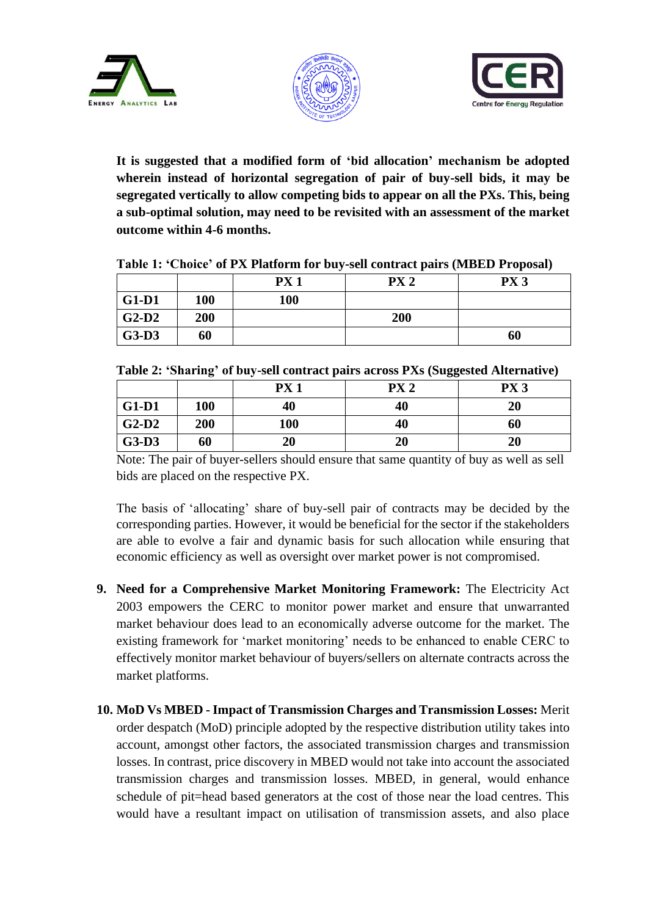





**It is suggested that a modified form of 'bid allocation' mechanism be adopted wherein instead of horizontal segregation of pair of buy-sell bids, it may be segregated vertically to allow competing bids to appear on all the PXs. This, being a sub-optimal solution, may need to be revisited with an assessment of the market outcome within 4-6 months.**

|         |            | PX <sub>1</sub> | PX <sub>2</sub> | PX <sub>3</sub> |
|---------|------------|-----------------|-----------------|-----------------|
| $G1-D1$ | <b>100</b> | 100             |                 |                 |
| $G2-D2$ | 200        |                 | 200             |                 |
| $G3-D3$ | 60         |                 |                 | 60              |

**Table 1: 'Choice' of PX Platform for buy-sell contract pairs (MBED Proposal)**

|         |     | PX <sub>1</sub> | PX <sub>2</sub> | PX <sub>3</sub> |
|---------|-----|-----------------|-----------------|-----------------|
| $G1-D1$ | 100 | 40              | 40              | 20              |
| $G2-D2$ | 200 | 100             | 40              | 60              |
| $G3-D3$ | 60  | 20              | 20              | 20              |

Note: The pair of buyer-sellers should ensure that same quantity of buy as well as sell bids are placed on the respective PX.

The basis of 'allocating' share of buy-sell pair of contracts may be decided by the corresponding parties. However, it would be beneficial for the sector if the stakeholders are able to evolve a fair and dynamic basis for such allocation while ensuring that economic efficiency as well as oversight over market power is not compromised.

- **9. Need for a Comprehensive Market Monitoring Framework:** The Electricity Act 2003 empowers the CERC to monitor power market and ensure that unwarranted market behaviour does lead to an economically adverse outcome for the market. The existing framework for 'market monitoring' needs to be enhanced to enable CERC to effectively monitor market behaviour of buyers/sellers on alternate contracts across the market platforms.
- **10. MoD Vs MBED -Impact of Transmission Charges and Transmission Losses:** Merit order despatch (MoD) principle adopted by the respective distribution utility takes into account, amongst other factors, the associated transmission charges and transmission losses. In contrast, price discovery in MBED would not take into account the associated transmission charges and transmission losses. MBED, in general, would enhance schedule of pit=head based generators at the cost of those near the load centres. This would have a resultant impact on utilisation of transmission assets, and also place